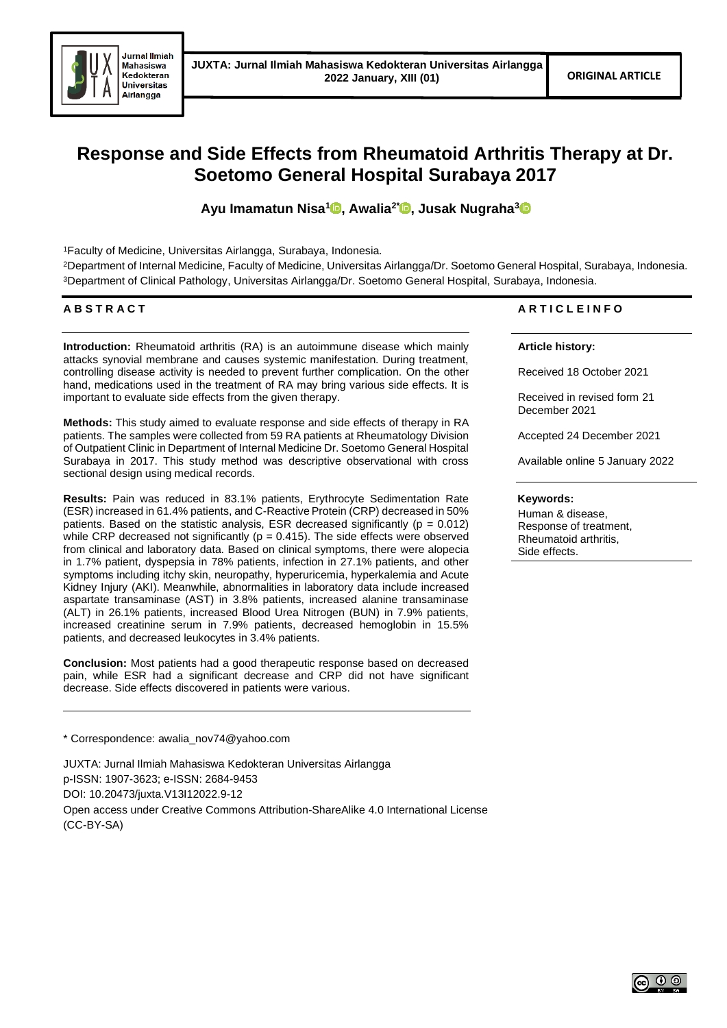

# **Response and Side Effects from Rheumatoid Arthritis Therapy at Dr. Soetomo General Hospital Surabaya 2017**

**Ayu Imamatun Nisa[1](https://orcid.org/0000-0001-6621-8318) , Awalia2\* [,](https://orcid.org/0000-0002-4232-384X) Jusak Nugraha[3](https://orcid.org/0000-0001-6700-9921)**

<sup>1</sup>Faculty of Medicine, Universitas Airlangga, Surabaya, Indonesia.

<sup>2</sup>Department of Internal Medicine, Faculty of Medicine, Universitas Airlangga/Dr. Soetomo General Hospital, Surabaya, Indonesia. <sup>3</sup>Department of Clinical Pathology, Universitas Airlangga/Dr. Soetomo General Hospital, Surabaya, Indonesia.

# **A B S T R A C T**

**Introduction:** Rheumatoid arthritis (RA) is an autoimmune disease which mainly attacks synovial membrane and causes systemic manifestation. During treatment, controlling disease activity is needed to prevent further complication. On the other hand, medications used in the treatment of RA may bring various side effects. It is important to evaluate side effects from the given therapy.

**Methods:** This study aimed to evaluate response and side effects of therapy in RA patients. The samples were collected from 59 RA patients at Rheumatology Division of Outpatient Clinic in Department of Internal Medicine Dr. Soetomo General Hospital Surabaya in 2017. This study method was descriptive observational with cross sectional design using medical records.

**Results:** Pain was reduced in 83.1% patients, Erythrocyte Sedimentation Rate (ESR) increased in 61.4% patients, and C-Reactive Protein (CRP) decreased in 50% patients. Based on the statistic analysis, ESR decreased significantly ( $p = 0.012$ ) while CRP decreased not significantly ( $p = 0.415$ ). The side effects were observed from clinical and laboratory data. Based on clinical symptoms, there were alopecia in 1.7% patient, dyspepsia in 78% patients, infection in 27.1% patients, and other symptoms including itchy skin, neuropathy, hyperuricemia, hyperkalemia and Acute Kidney Injury (AKI). Meanwhile, abnormalities in laboratory data include increased aspartate transaminase (AST) in 3.8% patients, increased alanine transaminase (ALT) in 26.1% patients, increased Blood Urea Nitrogen (BUN) in 7.9% patients, increased creatinine serum in 7.9% patients, decreased hemoglobin in 15.5% patients, and decreased leukocytes in 3.4% patients.

**Conclusion:** Most patients had a good therapeutic response based on decreased pain, while ESR had a significant decrease and CRP did not have significant decrease. Side effects discovered in patients were various.

\* Correspondence: awalia\_nov74@yahoo.com

JUXTA: Jurnal Ilmiah Mahasiswa Kedokteran Universitas Airlangga p-ISSN: 1907-3623; e-ISSN: 2684-9453

DOI: 10.20473/juxta.V13I12022.9-12

Open access under Creative Commons Attribution-ShareAlike 4.0 International License (CC-BY-SA)

# **A R T I C L E I N F O**

# **Article history:**

Received 18 October 2021

Received in revised form 21 December 2021

Accepted 24 December 2021

Available online 5 January 2022

#### **Keywords:**

Human & disease, Response of treatment, Rheumatoid arthritis, Side effects.

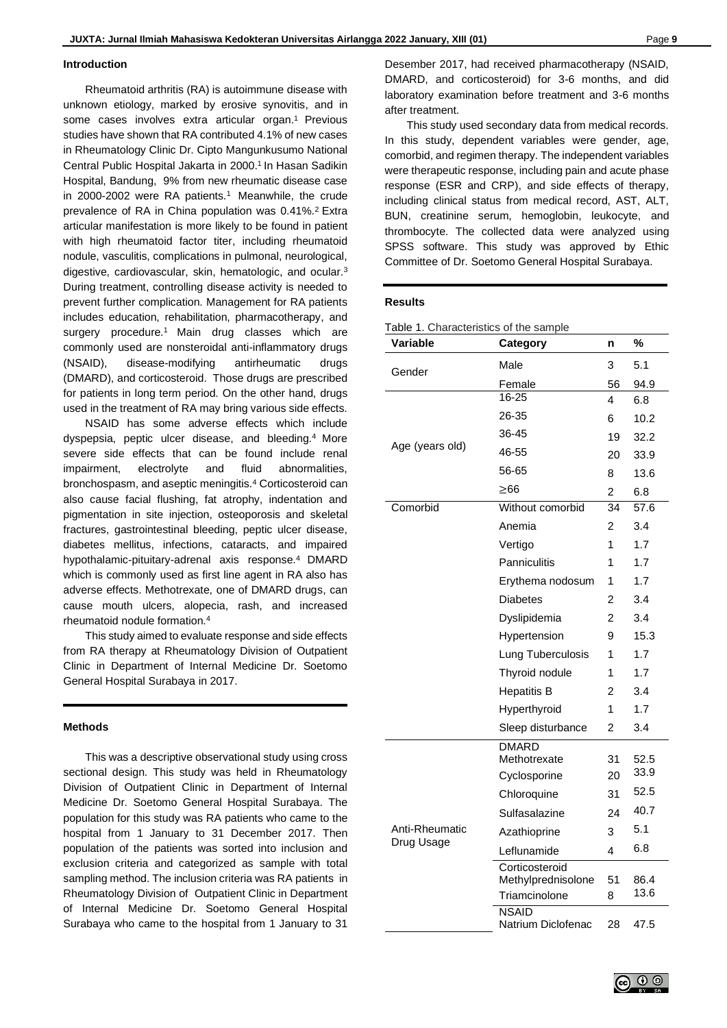#### **Introduction**

Rheumatoid arthritis (RA) is autoimmune disease with unknown etiology, marked by erosive synovitis, and in some cases involves extra articular organ.<sup>1</sup> Previous studies have shown that RA contributed 4.1% of new cases in Rheumatology Clinic Dr. Cipto Mangunkusumo National Central Public Hospital Jakarta in 2000.<sup>1</sup> In Hasan Sadikin Hospital, Bandung, 9% from new rheumatic disease case in 2000-2002 were RA patients.<sup>1</sup> Meanwhile, the crude prevalence of RA in China population was 0.41%.<sup>2</sup> Extra articular manifestation is more likely to be found in patient with high rheumatoid factor titer, including rheumatoid nodule, vasculitis, complications in pulmonal, neurological, digestive, cardiovascular, skin, hematologic, and ocular.<sup>3</sup> During treatment, controlling disease activity is needed to prevent further complication. Management for RA patients includes education, rehabilitation, pharmacotherapy, and surgery procedure.<sup>1</sup> Main drug classes which are commonly used are nonsteroidal anti-inflammatory drugs (NSAID), disease-modifying antirheumatic drugs (DMARD), and corticosteroid. Those drugs are prescribed for patients in long term period. On the other hand, drugs used in the treatment of RA may bring various side effects.

NSAID has some adverse effects which include dyspepsia, peptic ulcer disease, and bleeding.<sup>4</sup> More severe side effects that can be found include renal impairment, electrolyte and fluid abnormalities, bronchospasm, and aseptic meningitis.<sup>4</sup> Corticosteroid can also cause facial flushing, fat atrophy, indentation and pigmentation in site injection, osteoporosis and skeletal fractures, gastrointestinal bleeding, peptic ulcer disease, diabetes mellitus, infections, cataracts, and impaired hypothalamic-pituitary-adrenal axis response.<sup>4</sup> DMARD which is commonly used as first line agent in RA also has adverse effects. Methotrexate, one of DMARD drugs, can cause mouth ulcers, alopecia, rash, and increased rheumatoid nodule formation.<sup>4</sup>

This study aimed to evaluate response and side effects from RA therapy at Rheumatology Division of Outpatient Clinic in Department of Internal Medicine Dr. Soetomo General Hospital Surabaya in 2017.

## **Methods**

This was a descriptive observational study using cross sectional design. This study was held in Rheumatology Division of Outpatient Clinic in Department of Internal Medicine Dr. Soetomo General Hospital Surabaya. The population for this study was RA patients who came to the hospital from 1 January to 31 December 2017. Then population of the patients was sorted into inclusion and exclusion criteria and categorized as sample with total sampling method. The inclusion criteria was RA patients in Rheumatology Division of Outpatient Clinic in Department of Internal Medicine Dr. Soetomo General Hospital Surabaya who came to the hospital from 1 January to 31

Desember 2017, had received pharmacotherapy (NSAID, DMARD, and corticosteroid) for 3-6 months, and did laboratory examination before treatment and 3-6 months after treatment.

This study used secondary data from medical records. In this study, dependent variables were gender, age, comorbid, and regimen therapy. The independent variables were therapeutic response, including pain and acute phase response (ESR and CRP), and side effects of therapy, including clinical status from medical record, AST, ALT, BUN, creatinine serum, hemoglobin, leukocyte, and thrombocyte. The collected data were analyzed using SPSS software. This study was approved by Ethic Committee of Dr. Soetomo General Hospital Surabaya.

## **Results**

| Table 1. Characteristics of the sample |  |
|----------------------------------------|--|
|----------------------------------------|--|

| Variable        | Category                           | n              | %    |
|-----------------|------------------------------------|----------------|------|
| Gender          | Male                               | 3              | 5.1  |
|                 | Female                             | 56             | 94.9 |
|                 | $16 - 25$                          | 4              | 6.8  |
|                 | 26-35                              | 6              | 10.2 |
|                 | 36-45                              | 19             | 32.2 |
| Age (years old) | 46-55                              | 20             | 33.9 |
|                 | 56-65                              | 8              | 13.6 |
|                 | >66                                | 2              | 6.8  |
| Comorbid        | Without comorbid                   | 34             | 57.6 |
|                 | Anemia                             | 2              | 3.4  |
|                 | Vertigo                            | 1              | 1.7  |
|                 | <b>Panniculitis</b>                | 1              | 1.7  |
|                 | Erythema nodosum                   | 1              | 1.7  |
|                 | <b>Diabetes</b>                    | $\mathfrak{p}$ | 3.4  |
|                 | Dyslipidemia                       | 2              | 3.4  |
|                 | Hypertension                       | 9              | 15.3 |
|                 | Lung Tuberculosis                  | 1              | 1.7  |
|                 | Thyroid nodule                     | 1              | 1.7  |
|                 | <b>Hepatitis B</b>                 | 2              | 3.4  |
|                 | Hyperthyroid                       | 1              | 1.7  |
|                 | Sleep disturbance                  | $\overline{c}$ | 3.4  |
|                 | <b>DMARD</b><br>Methotrexate       | 31             | 52.5 |
|                 | Cyclosporine                       | 20             | 33.9 |
|                 | Chloroquine                        | 31             | 52.5 |
|                 | Sulfasalazine                      | 24             | 40.7 |
| Anti-Rheumatic  | Azathioprine                       | 3              | 5.1  |
| Drug Usage      | Leflunamide                        | 4              | 6.8  |
|                 | Corticosteroid                     |                |      |
|                 | Methylprednisolone                 | 51             | 86.4 |
|                 | Triamcinolone                      | 8              | 13.6 |
|                 | <b>NSAID</b><br>Natrium Diclofenac | 28             | 47.5 |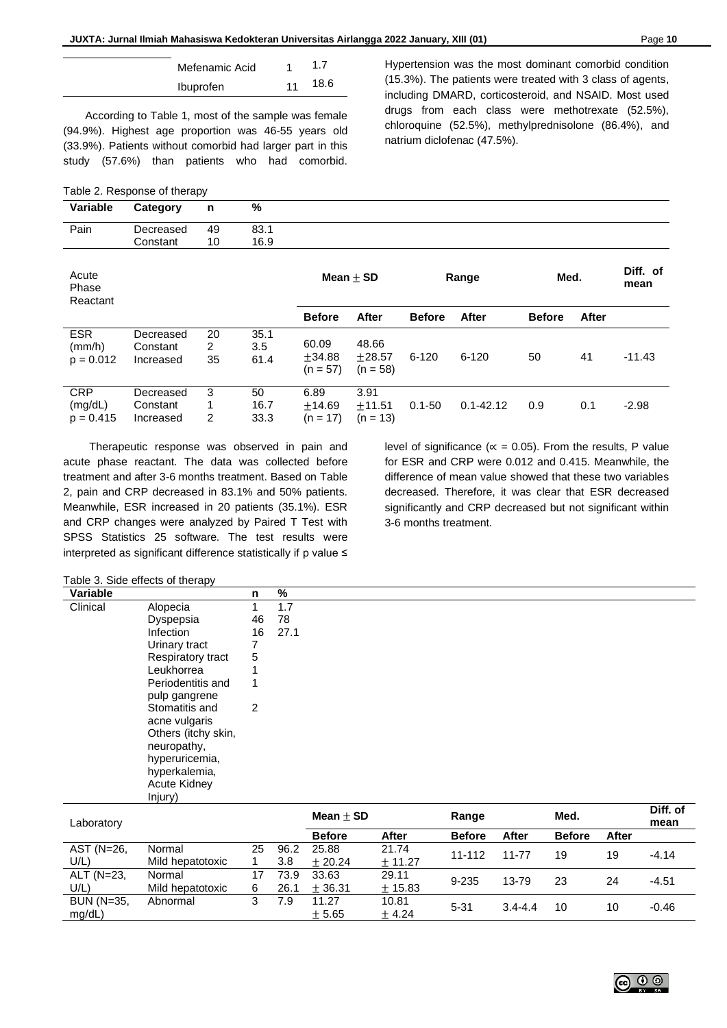| Mefenamic Acid | 1  | 1.7  |
|----------------|----|------|
| Ibuprofen      | 11 | 18.6 |

According to Table 1, most of the sample was female (94.9%). Highest age proportion was 46-55 years old (33.9%). Patients without comorbid had larger part in this study (57.6%) than patients who had comorbid.

|  | Table 2. Response of therapy |  |
|--|------------------------------|--|
|--|------------------------------|--|

**Variable Category n %**

Hypertension was the most dominant comorbid condition (15.3%). The patients were treated with 3 class of agents, including DMARD, corticosteroid, and NSAID. Most used drugs from each class were methotrexate (52.5%), chloroquine (52.5%), methylprednisolone (86.4%), and natrium diclofenac (47.5%).

| Pain                                 | Decreased<br>Constant              | 49<br>10      | 83.1<br>16.9        |                                |                                 |               |               |               |       |                  |
|--------------------------------------|------------------------------------|---------------|---------------------|--------------------------------|---------------------------------|---------------|---------------|---------------|-------|------------------|
| Acute<br>Phase<br>Reactant           |                                    |               |                     | Mean $\pm$ SD                  |                                 | Range         |               | Med.          |       | Diff. of<br>mean |
|                                      |                                    |               |                     | <b>Before</b>                  | After                           | <b>Before</b> | After         | <b>Before</b> | After |                  |
| <b>ESR</b><br>(mm/h)<br>$p = 0.012$  | Decreased<br>Constant<br>Increased | 20<br>2<br>35 | 35.1<br>3.5<br>61.4 | 60.09<br>±34.88<br>$(n = 57)$  | 48.66<br>$+28.57$<br>$(n = 58)$ | $6 - 120$     | $6 - 120$     | 50            | 41    | $-11.43$         |
| <b>CRP</b><br>(mg/dL)<br>$p = 0.415$ | Decreased<br>Constant<br>Increased | 3<br>1<br>2   | 50<br>16.7<br>33.3  | 6.89<br>$+14.69$<br>$(n = 17)$ | 3.91<br>$+11.51$<br>$(n = 13)$  | $0.1 - 50$    | $0.1 - 42.12$ | 0.9           | 0.1   | $-2.98$          |

Therapeutic response was observed in pain and acute phase reactant. The data was collected before treatment and after 3-6 months treatment. Based on Table 2, pain and CRP decreased in 83.1% and 50% patients. Meanwhile, ESR increased in 20 patients (35.1%). ESR and CRP changes were analyzed by Paired T Test with SPSS Statistics 25 software. The test results were interpreted as significant difference statistically if p value ≤

level of significance ( $\alpha$  = 0.05). From the results, P value for ESR and CRP were 0.012 and 0.415. Meanwhile, the difference of mean value showed that these two variables decreased. Therefore, it was clear that ESR decreased significantly and CRP decreased but not significant within 3-6 months treatment.

Table 3. Side effects of therapy

| Variable |                     | n  | %    |
|----------|---------------------|----|------|
| Clinical | Alopecia            |    | 1.7  |
|          | Dyspepsia           | 46 | 78   |
|          | Infection           | 16 | 27.1 |
|          | Urinary tract       | 7  |      |
|          | Respiratory tract   | 5  |      |
|          | Leukhorrea          | ۸  |      |
|          | Periodentitis and   | 1  |      |
|          | pulp gangrene       |    |      |
|          | Stomatitis and      | 2  |      |
|          | acne vulgaris       |    |      |
|          | Others (itchy skin, |    |      |
|          | neuropathy,         |    |      |
|          | hyperuricemia,      |    |      |
|          | hyperkalemia,       |    |      |
|          | Acute Kidney        |    |      |
|          | Injury)             |    |      |

| Laboratory |                  |    |      | $Mean + SD$   |         | Range         |             | Med.          |       | Diff. of<br>mean |
|------------|------------------|----|------|---------------|---------|---------------|-------------|---------------|-------|------------------|
|            |                  |    |      | <b>Before</b> | After   | <b>Before</b> | After       | <b>Before</b> | After |                  |
| AST (N=26, | Normal           | 25 | 96.2 | 25.88         | 21.74   | 11-112        | 11-77       | 19            | 19    | $-4.14$          |
| U/L)       | Mild hepatotoxic |    | 3.8  | $+20.24$      | ± 11.27 |               |             |               |       |                  |
| ALT (N=23, | Normal           | 17 | 73.9 | 33.63         | 29.11   | $9 - 235$     | 13-79       | 23            | 24    | $-4.51$          |
| U/L)       | Mild hepatotoxic | 6  | 26.1 | ± 36.31       | ± 15.83 |               |             |               |       |                  |
| BUN (N=35, | Abnormal         | 3  | 7.9  | 11.27         | 10.81   |               |             |               |       |                  |
| mg/dL)     |                  |    |      | ± 5.65        | $+4.24$ | $5 - 31$      | $3.4 - 4.4$ | 10            | 10    | $-0.46$          |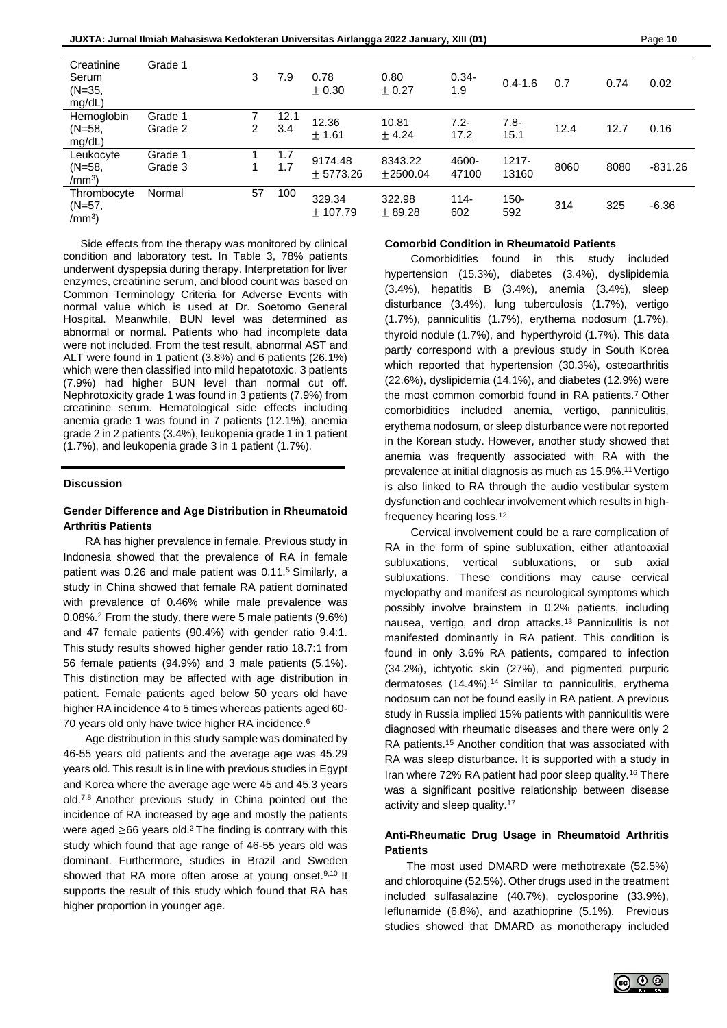| Creatinine<br>Serum<br>$(N=35,$<br>mg/dL)   | Grade 1            | 3  | 7.9         | 0.78<br>$+0.30$       | 0.80<br>± 0.27      | $0.34 -$<br>1.9 | $0.4 - 1.6$       | 0.7  | 0.74 | 0.02      |
|---------------------------------------------|--------------------|----|-------------|-----------------------|---------------------|-----------------|-------------------|------|------|-----------|
| Hemoglobin<br>$(N=58,$<br>mg/dL)            | Grade 1<br>Grade 2 | 2  | 12.1<br>3.4 | 12.36<br>$+1.61$      | 10.81<br>$+4.24$    | $7.2 -$<br>17.2 | $7.8 -$<br>15.1   | 12.4 | 12.7 | 0.16      |
| Leukocyte<br>$(N=58,$<br>/mm <sup>3</sup>   | Grade 1<br>Grade 3 |    | 1.7<br>1.7  | 9174.48<br>$+5773.26$ | 8343.22<br>±2500.04 | 4600-<br>47100  | $1217 -$<br>13160 | 8060 | 8080 | $-831.26$ |
| Thrombocyte<br>$(N=57)$<br>/mm <sup>3</sup> | Normal             | 57 | 100         | 329.34<br>± 107.79    | 322.98<br>± 89.28   | $114 -$<br>602  | $150 -$<br>592    | 314  | 325  | $-6.36$   |

Side effects from the therapy was monitored by clinical condition and laboratory test. In Table 3, 78% patients underwent dyspepsia during therapy. Interpretation for liver enzymes, creatinine serum, and blood count was based on Common Terminology Criteria for Adverse Events with normal value which is used at Dr. Soetomo General Hospital. Meanwhile, BUN level was determined as abnormal or normal. Patients who had incomplete data were not included. From the test result, abnormal AST and ALT were found in 1 patient (3.8%) and 6 patients (26.1%) which were then classified into mild hepatotoxic. 3 patients (7.9%) had higher BUN level than normal cut off. Nephrotoxicity grade 1 was found in 3 patients (7.9%) from creatinine serum. Hematological side effects including anemia grade 1 was found in 7 patients (12.1%), anemia grade 2 in 2 patients (3.4%), leukopenia grade 1 in 1 patient (1.7%), and leukopenia grade 3 in 1 patient (1.7%).

## **Discussion**

## **Gender Difference and Age Distribution in Rheumatoid Arthritis Patients**

RA has higher prevalence in female. Previous study in Indonesia showed that the prevalence of RA in female patient was 0.26 and male patient was 0.11.<sup>5</sup> Similarly, a study in China showed that female RA patient dominated with prevalence of 0.46% while male prevalence was 0.08%.<sup>2</sup> From the study, there were 5 male patients (9.6%) and 47 female patients (90.4%) with gender ratio 9.4:1. This study results showed higher gender ratio 18.7:1 from 56 female patients (94.9%) and 3 male patients (5.1%). This distinction may be affected with age distribution in patient. Female patients aged below 50 years old have higher RA incidence 4 to 5 times whereas patients aged 60- 70 years old only have twice higher RA incidence. 6

Age distribution in this study sample was dominated by 46-55 years old patients and the average age was 45.29 years old. This result is in line with previous studies in Egypt and Korea where the average age were 45 and 45.3 years old.7,8 Another previous study in China pointed out the incidence of RA increased by age and mostly the patients were aged ≥66 years old.<sup>2</sup> The finding is contrary with this study which found that age range of 46-55 years old was dominant. Furthermore, studies in Brazil and Sweden showed that RA more often arose at young onset.<sup>9,10</sup> It supports the result of this study which found that RA has higher proportion in younger age.

## **Comorbid Condition in Rheumatoid Patients**

Comorbidities found in this study included hypertension (15.3%), diabetes (3.4%), dyslipidemia (3.4%), hepatitis B (3.4%), anemia (3.4%), sleep disturbance (3.4%), lung tuberculosis (1.7%), vertigo (1.7%), panniculitis (1.7%), erythema nodosum (1.7%), thyroid nodule (1.7%), and hyperthyroid (1.7%). This data partly correspond with a previous study in South Korea which reported that hypertension (30.3%), osteoarthritis (22.6%), dyslipidemia (14.1%), and diabetes (12.9%) were the most common comorbid found in RA patients.<sup>7</sup> Other comorbidities included anemia, vertigo, panniculitis, erythema nodosum, or sleep disturbance were not reported in the Korean study. However, another study showed that anemia was frequently associated with RA with the prevalence at initial diagnosis as much as 15.9%.<sup>11</sup> Vertigo is also linked to RA through the audio vestibular system dysfunction and cochlear involvement which results in highfrequency hearing loss. 12

Cervical involvement could be a rare complication of RA in the form of spine subluxation, either atlantoaxial subluxations, vertical subluxations, or sub axial subluxations. These conditions may cause cervical myelopathy and manifest as neurological symptoms which possibly involve brainstem in 0.2% patients, including nausea, vertigo, and drop attacks*.* <sup>13</sup> Panniculitis is not manifested dominantly in RA patient. This condition is found in only 3.6% RA patients, compared to infection (34.2%), ichtyotic skin (27%), and pigmented purpuric dermatoses (14.4%).<sup>14</sup> Similar to panniculitis, erythema nodosum can not be found easily in RA patient. A previous study in Russia implied 15% patients with panniculitis were diagnosed with rheumatic diseases and there were only 2 RA patients.<sup>15</sup> Another condition that was associated with RA was sleep disturbance. It is supported with a study in Iran where 72% RA patient had poor sleep quality.<sup>16</sup> There was a significant positive relationship between disease activity and sleep quality.<sup>17</sup>

# **Anti-Rheumatic Drug Usage in Rheumatoid Arthritis Patients**

The most used DMARD were methotrexate (52.5%) and chloroquine (52.5%). Other drugs used in the treatment included sulfasalazine (40.7%), cyclosporine (33.9%), leflunamide (6.8%), and azathioprine (5.1%). Previous studies showed that DMARD as monotherapy included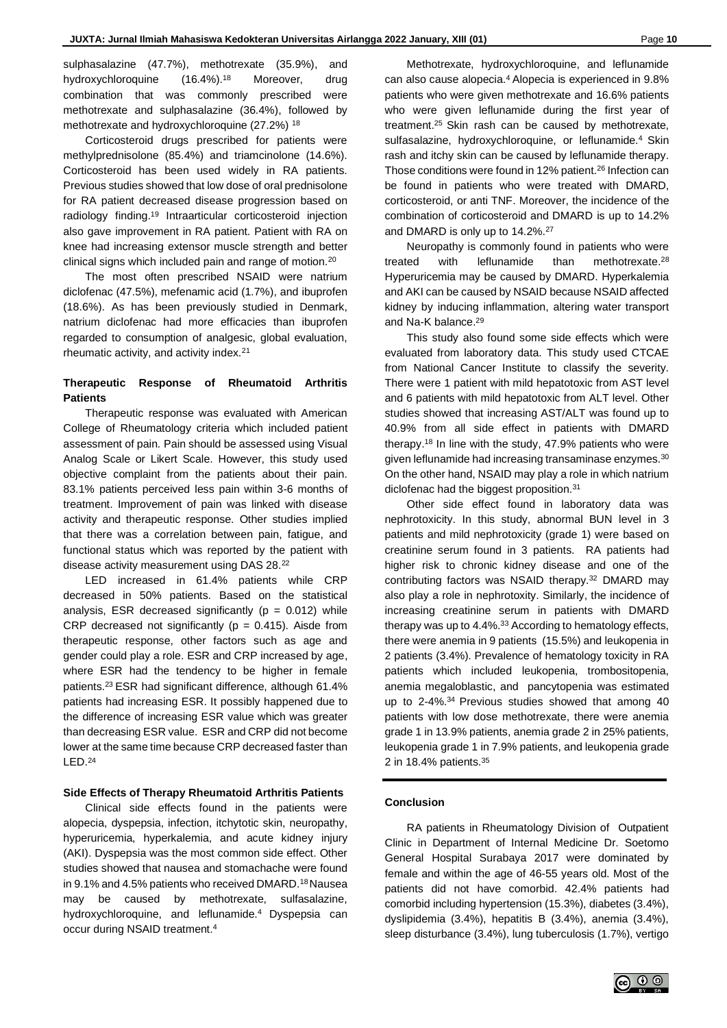sulphasalazine (47.7%), methotrexate (35.9%), and hydroxychloroquine (16.4%).<sup>18</sup> Moreover, drug combination that was commonly prescribed were methotrexate and sulphasalazine (36.4%), followed by methotrexate and hydroxychloroquine (27.2%) <sup>18</sup>

Corticosteroid drugs prescribed for patients were methylprednisolone (85.4%) and triamcinolone (14.6%). Corticosteroid has been used widely in RA patients. Previous studies showed that low dose of oral prednisolone for RA patient decreased disease progression based on radiology finding.<sup>19</sup> Intraarticular corticosteroid injection also gave improvement in RA patient. Patient with RA on knee had increasing extensor muscle strength and better clinical signs which included pain and range of motion.<sup>20</sup>

The most often prescribed NSAID were natrium diclofenac (47.5%), mefenamic acid (1.7%), and ibuprofen (18.6%). As has been previously studied in Denmark, natrium diclofenac had more efficacies than ibuprofen regarded to consumption of analgesic, global evaluation, rheumatic activity, and activity index.<sup>21</sup>

# **Therapeutic Response of Rheumatoid Arthritis Patients**

Therapeutic response was evaluated with American College of Rheumatology criteria which included patient assessment of pain*.* Pain should be assessed using Visual Analog Scale or Likert Scale. However, this study used objective complaint from the patients about their pain. 83.1% patients perceived less pain within 3-6 months of treatment. Improvement of pain was linked with disease activity and therapeutic response. Other studies implied that there was a correlation between pain, fatigue, and functional status which was reported by the patient with disease activity measurement using DAS 28.<sup>22</sup>

LED increased in 61.4% patients while CRP decreased in 50% patients. Based on the statistical analysis, ESR decreased significantly ( $p = 0.012$ ) while CRP decreased not significantly ( $p = 0.415$ ). Aisde from therapeutic response, other factors such as age and gender could play a role. ESR and CRP increased by age, where ESR had the tendency to be higher in female patients.<sup>23</sup> ESR had significant difference, although 61.4% patients had increasing ESR. It possibly happened due to the difference of increasing ESR value which was greater than decreasing ESR value. ESR and CRP did not become lower at the same time because CRP decreased faster than LED.<sup>24</sup>

## **Side Effects of Therapy Rheumatoid Arthritis Patients**

Clinical side effects found in the patients were alopecia, dyspepsia, infection, itchytotic skin, neuropathy, hyperuricemia, hyperkalemia, and acute kidney injury (AKI). Dyspepsia was the most common side effect. Other studies showed that nausea and stomachache were found in 9.1% and 4.5% patients who received DMARD.<sup>18</sup> Nausea may be caused by methotrexate, sulfasalazine, hydroxychloroquine, and leflunamide.<sup>4</sup> Dyspepsia can occur during NSAID treatment.<sup>4</sup>

Methotrexate, hydroxychloroquine, and leflunamide can also cause alopecia.<sup>4</sup> Alopecia is experienced in 9.8% patients who were given methotrexate and 16.6% patients who were given leflunamide during the first year of treatment.<sup>25</sup> Skin rash can be caused by methotrexate, sulfasalazine, hydroxychloroquine, or leflunamide.<sup>4</sup> Skin rash and itchy skin can be caused by leflunamide therapy. Those conditions were found in 12% patient.<sup>26</sup> Infection can be found in patients who were treated with DMARD, corticosteroid, or anti TNF. Moreover, the incidence of the combination of corticosteroid and DMARD is up to 14.2% and DMARD is only up to 14.2%.<sup>27</sup>

Neuropathy is commonly found in patients who were treated with leflunamide than methotrexate.<sup>28</sup> Hyperuricemia may be caused by DMARD. Hyperkalemia and AKI can be caused by NSAID because NSAID affected kidney by inducing inflammation, altering water transport and Na-K balance.<sup>29</sup>

This study also found some side effects which were evaluated from laboratory data. This study used CTCAE from National Cancer Institute to classify the severity. There were 1 patient with mild hepatotoxic from AST level and 6 patients with mild hepatotoxic from ALT level. Other studies showed that increasing AST/ALT was found up to 40.9% from all side effect in patients with DMARD therapy.<sup>18</sup> In line with the study, 47.9% patients who were given leflunamide had increasing transaminase enzymes.<sup>30</sup> On the other hand, NSAID may play a role in which natrium diclofenac had the biggest proposition.<sup>31</sup>

Other side effect found in laboratory data was nephrotoxicity. In this study, abnormal BUN level in 3 patients and mild nephrotoxicity (grade 1) were based on creatinine serum found in 3 patients. RA patients had higher risk to chronic kidney disease and one of the contributing factors was NSAID therapy.<sup>32</sup> DMARD may also play a role in nephrotoxity. Similarly, the incidence of increasing creatinine serum in patients with DMARD therapy was up to 4.4%. <sup>33</sup> According to hematology effects, there were anemia in 9 patients (15.5%) and leukopenia in 2 patients (3.4%). Prevalence of hematology toxicity in RA patients which included leukopenia, trombositopenia, anemia megaloblastic, and pancytopenia was estimated up to 2-4%.<sup>34</sup> Previous studies showed that among 40 patients with low dose methotrexate, there were anemia grade 1 in 13.9% patients, anemia grade 2 in 25% patients, leukopenia grade 1 in 7.9% patients, and leukopenia grade 2 in 18.4% patients. $35$ 

# **Conclusion**

RA patients in Rheumatology Division of Outpatient Clinic in Department of Internal Medicine Dr. Soetomo General Hospital Surabaya 2017 were dominated by female and within the age of 46-55 years old. Most of the patients did not have comorbid. 42.4% patients had comorbid including hypertension (15.3%), diabetes (3.4%), dyslipidemia (3.4%), hepatitis B (3.4%), anemia (3.4%), sleep disturbance (3.4%), lung tuberculosis (1.7%), vertigo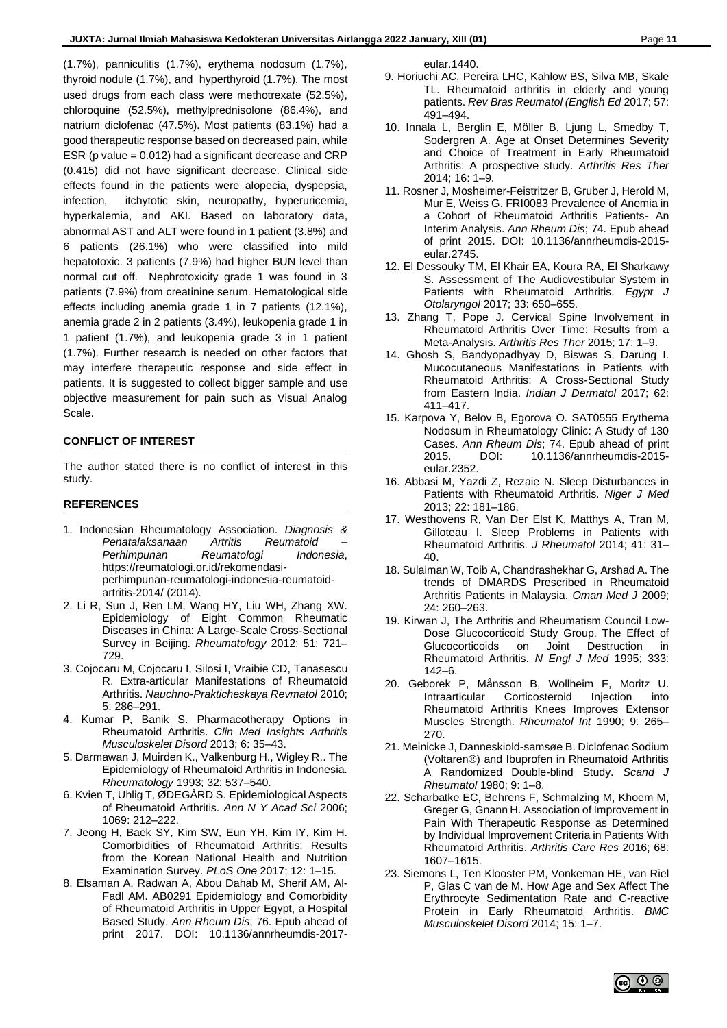(1.7%), panniculitis (1.7%), erythema nodosum (1.7%), thyroid nodule (1.7%), and hyperthyroid (1.7%). The most used drugs from each class were methotrexate (52.5%), chloroquine (52.5%), methylprednisolone (86.4%), and natrium diclofenac (47.5%). Most patients (83.1%) had a good therapeutic response based on decreased pain, while ESR (p value = 0.012) had a significant decrease and CRP (0.415) did not have significant decrease. Clinical side effects found in the patients were alopecia, dyspepsia, infection, itchytotic skin, neuropathy, hyperuricemia, hyperkalemia, and AKI. Based on laboratory data, abnormal AST and ALT were found in 1 patient (3.8%) and 6 patients (26.1%) who were classified into mild hepatotoxic. 3 patients (7.9%) had higher BUN level than normal cut off. Nephrotoxicity grade 1 was found in 3 patients (7.9%) from creatinine serum. Hematological side effects including anemia grade 1 in 7 patients (12.1%), anemia grade 2 in 2 patients (3.4%), leukopenia grade 1 in 1 patient (1.7%), and leukopenia grade 3 in 1 patient (1.7%). Further research is needed on other factors that may interfere therapeutic response and side effect in patients. It is suggested to collect bigger sample and use objective measurement for pain such as Visual Analog Scale.

## **CONFLICT OF INTEREST**

The author stated there is no conflict of interest in this study.

## **REFERENCES**

- 1. Indonesian Rheumatology Association. *Diagnosis & Penatalaksanaan Artritis Reumatoid – Perhimpunan Reumatologi Indonesia*, https://reumatologi.or.id/rekomendasiperhimpunan-reumatologi-indonesia-reumatoidartritis-2014/ (2014).
- 2. Li R, Sun J, Ren LM, Wang HY, Liu WH, Zhang XW. Epidemiology of Eight Common Rheumatic Diseases in China: A Large-Scale Cross-Sectional Survey in Beijing. *Rheumatology* 2012; 51: 721– 729.
- 3. Cojocaru M, Cojocaru I, Silosi I, Vraibie CD, Tanasescu R. Extra-articular Manifestations of Rheumatoid Arthritis. *Nauchno-Prakticheskaya Revmatol* 2010; 5: 286–291.
- 4. Kumar P, Banik S. Pharmacotherapy Options in Rheumatoid Arthritis. *Clin Med Insights Arthritis Musculoskelet Disord* 2013; 6: 35–43.
- 5. Darmawan J, Muirden K., Valkenburg H., Wigley R.. The Epidemiology of Rheumatoid Arthritis in Indonesia. *Rheumatology* 1993; 32: 537–540.
- 6. Kvien T, Uhlig T, ØDEGÅRD S. Epidemiological Aspects of Rheumatoid Arthritis. *Ann N Y Acad Sci* 2006; 1069: 212–222.
- 7. Jeong H, Baek SY, Kim SW, Eun YH, Kim IY, Kim H. Comorbidities of Rheumatoid Arthritis: Results from the Korean National Health and Nutrition Examination Survey. *PLoS One* 2017; 12: 1–15.
- 8. Elsaman A, Radwan A, Abou Dahab M, Sherif AM, Al-Fadl AM. AB0291 Epidemiology and Comorbidity of Rheumatoid Arthritis in Upper Egypt, a Hospital Based Study. *Ann Rheum Dis*; 76. Epub ahead of print 2017. DOI: 10.1136/annrheumdis-2017-

eular.1440.

- 9. Horiuchi AC, Pereira LHC, Kahlow BS, Silva MB, Skale TL. Rheumatoid arthritis in elderly and young patients. *Rev Bras Reumatol (English Ed* 2017; 57: 491–494.
- 10. Innala L, Berglin E, Möller B, Ljung L, Smedby T, Sodergren A. Age at Onset Determines Severity and Choice of Treatment in Early Rheumatoid Arthritis: A prospective study. *Arthritis Res Ther* 2014; 16: 1–9.
- 11. Rosner J, Mosheimer-Feistritzer B, Gruber J, Herold M, Mur E, Weiss G. FRI0083 Prevalence of Anemia in a Cohort of Rheumatoid Arthritis Patients- An Interim Analysis. *Ann Rheum Dis*; 74. Epub ahead of print 2015. DOI: 10.1136/annrheumdis-2015 eular.2745.
- 12. El Dessouky TM, El Khair EA, Koura RA, El Sharkawy S. Assessment of The Audiovestibular System in Patients with Rheumatoid Arthritis. *Egypt J Otolaryngol* 2017; 33: 650–655.
- 13. Zhang T, Pope J. Cervical Spine Involvement in Rheumatoid Arthritis Over Time: Results from a Meta-Analysis. *Arthritis Res Ther* 2015; 17: 1–9.
- 14. Ghosh S, Bandyopadhyay D, Biswas S, Darung I. Mucocutaneous Manifestations in Patients with Rheumatoid Arthritis: A Cross-Sectional Study from Eastern India. *Indian J Dermatol* 2017; 62: 411–417.
- 15. Karpova Y, Belov B, Egorova O. SAT0555 Erythema Nodosum in Rheumatology Clinic: A Study of 130 Cases. *Ann Rheum Dis*; 74. Epub ahead of print 2015. DOI: 10.1136/annrheumdis-2015 eular.2352.
- 16. Abbasi M, Yazdi Z, Rezaie N. Sleep Disturbances in Patients with Rheumatoid Arthritis. *Niger J Med* 2013; 22: 181–186.
- 17. Westhovens R, Van Der Elst K, Matthys A, Tran M, Gilloteau I. Sleep Problems in Patients with Rheumatoid Arthritis. *J Rheumatol* 2014; 41: 31– 40.
- 18. Sulaiman W, Toib A, Chandrashekhar G, Arshad A. The trends of DMARDS Prescribed in Rheumatoid Arthritis Patients in Malaysia. *Oman Med J* 2009; 24: 260–263.
- 19. Kirwan J, The Arthritis and Rheumatism Council Low-Dose Glucocorticoid Study Group. The Effect of Glucocorticoids on Joint Destruction in Rheumatoid Arthritis. *N Engl J Med* 1995; 333: 142–6.
- 20. Geborek P, Månsson B, Wollheim F, Moritz U. Intraarticular Corticosteroid Injection into Rheumatoid Arthritis Knees Improves Extensor Muscles Strength. *Rheumatol Int* 1990; 9: 265– 270.
- 21. Meinicke J, Danneskiold-samsøe B. Diclofenac Sodium (Voltaren®) and Ibuprofen in Rheumatoid Arthritis A Randomized Double-blind Study. *Scand J Rheumatol* 1980; 9: 1–8.
- 22. Scharbatke EC, Behrens F, Schmalzing M, Khoem M, Greger G, Gnann H. Association of Improvement in Pain With Therapeutic Response as Determined by Individual Improvement Criteria in Patients With Rheumatoid Arthritis. *Arthritis Care Res* 2016; 68: 1607–1615.
- 23. Siemons L, Ten Klooster PM, Vonkeman HE, van Riel P, Glas C van de M. How Age and Sex Affect The Erythrocyte Sedimentation Rate and C-reactive Protein in Early Rheumatoid Arthritis. *BMC Musculoskelet Disord* 2014; 15: 1–7.